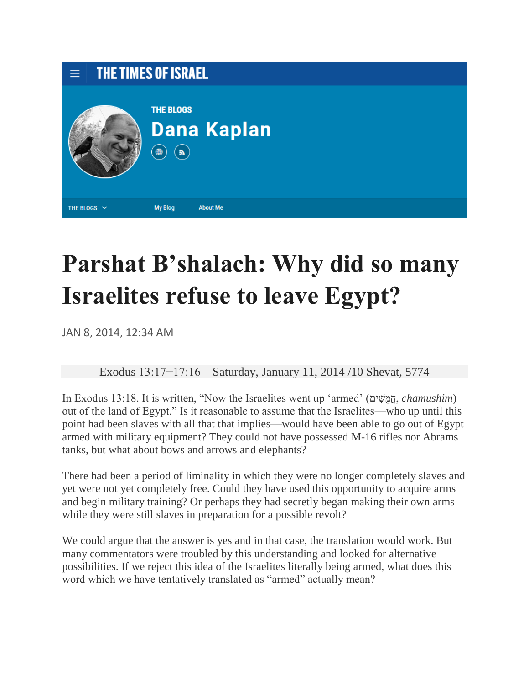

## **Parshat B'shalach: Why did so many Israelites refuse to leave Egypt?**

JAN 8, 2014, 12:34 AM

Exodus 13:17−17:16 Saturday, January 11, 2014 /10 Shevat, 5774

In Exodus 13:18. It is written, "Now the Israelites went up 'armed' (ים ִׁשֻמֲח, *chamushim*) out of the land of Egypt." Is it reasonable to assume that the Israelites—who up until this point had been slaves with all that that implies—would have been able to go out of Egypt armed with military equipment? They could not have possessed M-16 rifles nor Abrams tanks, but what about bows and arrows and elephants?

There had been a period of liminality in which they were no longer completely slaves and yet were not yet completely free. Could they have used this opportunity to acquire arms and begin military training? Or perhaps they had secretly began making their own arms while they were still slaves in preparation for a possible revolt?

We could argue that the answer is yes and in that case, the translation would work. But many commentators were troubled by this understanding and looked for alternative possibilities. If we reject this idea of the Israelites literally being armed, what does this word which we have tentatively translated as "armed" actually mean?